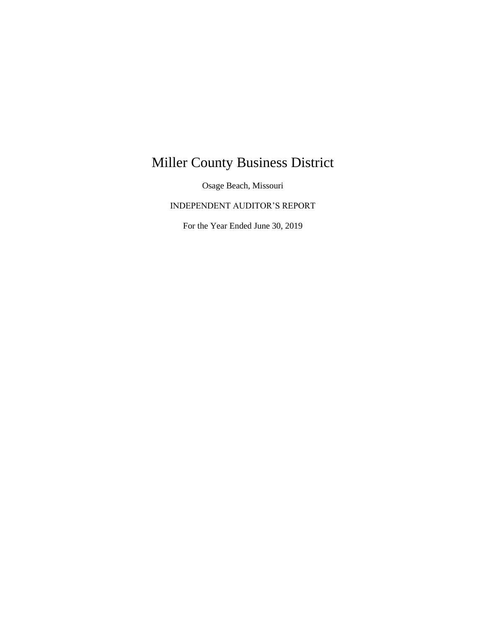# Miller County Business District

Osage Beach, Missouri

INDEPENDENT AUDITOR'S REPORT

For the Year Ended June 30, 2019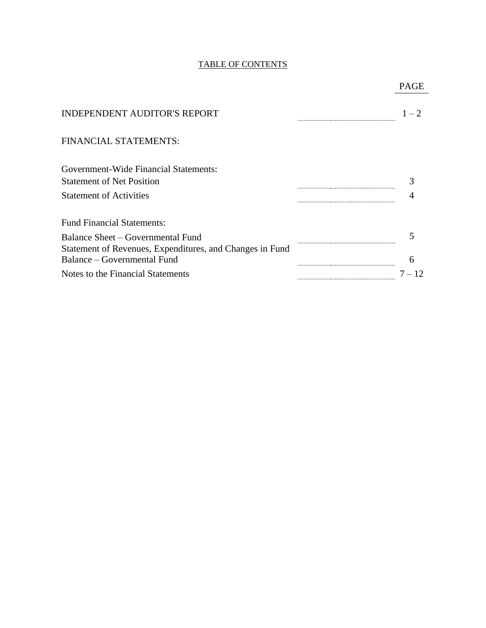# TABLE OF CONTENTS

|                                                          | <b>PAGE</b> |
|----------------------------------------------------------|-------------|
| <b>INDEPENDENT AUDITOR'S REPORT</b>                      | $1 - 2$     |
| FINANCIAL STATEMENTS:                                    |             |
| Government-Wide Financial Statements:                    |             |
| <b>Statement of Net Position</b>                         |             |
| <b>Statement of Activities</b>                           |             |
| <b>Fund Financial Statements:</b>                        |             |
| Balance Sheet – Governmental Fund                        |             |
| Statement of Revenues, Expenditures, and Changes in Fund |             |
| Balance – Governmental Fund                              | 6           |
| Notes to the Financial Statements                        | $7 - 12$    |
|                                                          |             |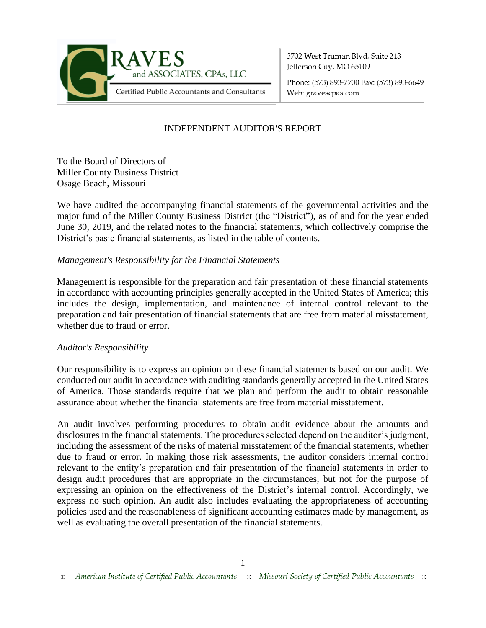

3702 West Truman Blvd, Suite 213 Jefferson City, MO 65109

Phone: (573) 893-7700 Fax: (573) 893-6649 Web: gravescpas.com

# INDEPENDENT AUDITOR'S REPORT

To the Board of Directors of Miller County Business District Osage Beach, Missouri

We have audited the accompanying financial statements of the governmental activities and the major fund of the Miller County Business District (the "District"), as of and for the year ended June 30, 2019, and the related notes to the financial statements, which collectively comprise the District's basic financial statements, as listed in the table of contents.

# *Management's Responsibility for the Financial Statements*

Management is responsible for the preparation and fair presentation of these financial statements in accordance with accounting principles generally accepted in the United States of America; this includes the design, implementation, and maintenance of internal control relevant to the preparation and fair presentation of financial statements that are free from material misstatement, whether due to fraud or error.

# *Auditor's Responsibility*

Our responsibility is to express an opinion on these financial statements based on our audit. We conducted our audit in accordance with auditing standards generally accepted in the United States of America. Those standards require that we plan and perform the audit to obtain reasonable assurance about whether the financial statements are free from material misstatement.

An audit involves performing procedures to obtain audit evidence about the amounts and disclosures in the financial statements. The procedures selected depend on the auditor's judgment, including the assessment of the risks of material misstatement of the financial statements, whether due to fraud or error. In making those risk assessments, the auditor considers internal control relevant to the entity's preparation and fair presentation of the financial statements in order to design audit procedures that are appropriate in the circumstances, but not for the purpose of expressing an opinion on the effectiveness of the District's internal control. Accordingly, we express no such opinion. An audit also includes evaluating the appropriateness of accounting policies used and the reasonableness of significant accounting estimates made by management, as well as evaluating the overall presentation of the financial statements.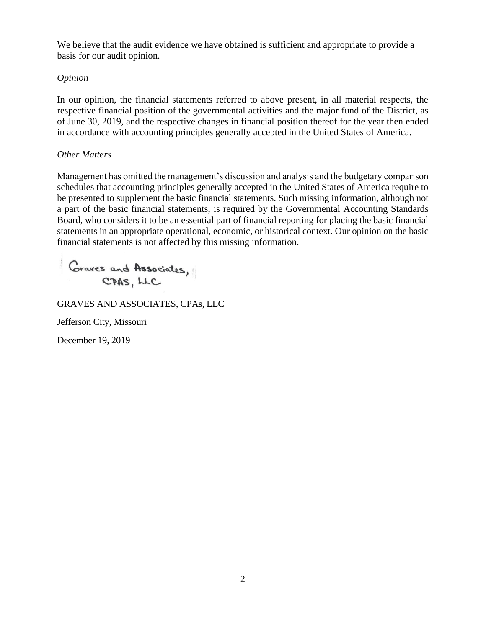We believe that the audit evidence we have obtained is sufficient and appropriate to provide a basis for our audit opinion.

# *Opinion*

In our opinion, the financial statements referred to above present, in all material respects, the respective financial position of the governmental activities and the major fund of the District, as of June 30, 2019, and the respective changes in financial position thereof for the year then ended in accordance with accounting principles generally accepted in the United States of America.

# *Other Matters*

Management has omitted the management's discussion and analysis and the budgetary comparison schedules that accounting principles generally accepted in the United States of America require to be presented to supplement the basic financial statements. Such missing information, although not a part of the basic financial statements, is required by the Governmental Accounting Standards Board, who considers it to be an essential part of financial reporting for placing the basic financial statements in an appropriate operational, economic, or historical context. Our opinion on the basic financial statements is not affected by this missing information.

Graves and Associates,

GRAVES AND ASSOCIATES, CPAs, LLC

Jefferson City, Missouri

December 19, 2019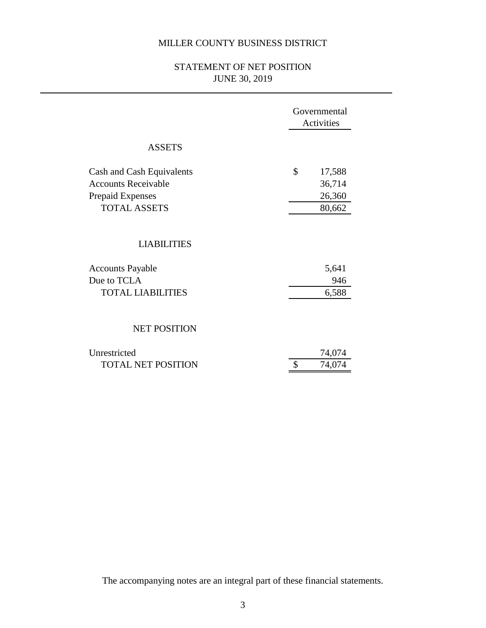# MILLER COUNTY BUSINESS DISTRICT

# STATEMENT OF NET POSITION JUNE 30, 2019

|                                           | Governmental<br>Activities |
|-------------------------------------------|----------------------------|
| <b>ASSETS</b>                             |                            |
| Cash and Cash Equivalents                 | $\mathcal{S}$<br>17,588    |
| <b>Accounts Receivable</b>                | 36,714                     |
| Prepaid Expenses                          | 26,360                     |
| <b>TOTAL ASSETS</b>                       | 80,662                     |
| <b>Accounts Payable</b><br>Due to TCLA    | 5,641<br>946               |
| <b>TOTAL LIABILITIES</b>                  | 6,588                      |
| <b>NET POSITION</b>                       |                            |
| Unrestricted<br><b>TOTAL NET POSITION</b> | 74,074<br>\$<br>74,074     |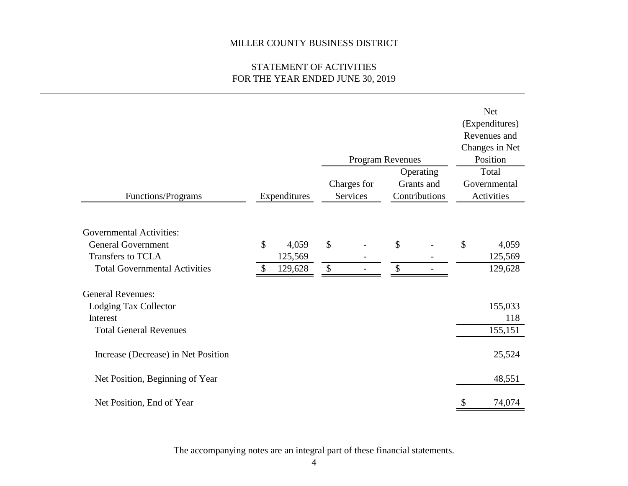# MILLER COUNTY BUSINESS DISTRICT

# STATEMENT OF ACTIVITIES FOR THE YEAR ENDED JUNE 30, 2019

| Functions/Programs                                                                                                        |          | Expenditures                |          | Program Revenues<br>Charges for<br>Services |                                 | Operating<br>Grants and<br>Contributions | <b>Net</b><br>(Expenditures)<br>Revenues and<br>Changes in Net<br>Position<br>Total<br>Governmental<br>Activities |
|---------------------------------------------------------------------------------------------------------------------------|----------|-----------------------------|----------|---------------------------------------------|---------------------------------|------------------------------------------|-------------------------------------------------------------------------------------------------------------------|
|                                                                                                                           |          |                             |          |                                             |                                 |                                          |                                                                                                                   |
| <b>Governmental Activities:</b><br><b>General Government</b><br>Transfers to TCLA<br><b>Total Governmental Activities</b> | \$<br>\$ | 4,059<br>125,569<br>129,628 | \$<br>\$ |                                             | $\boldsymbol{\mathsf{S}}$<br>\$ |                                          | \$<br>4,059<br>125,569<br>129,628                                                                                 |
| <b>General Revenues:</b><br>Lodging Tax Collector<br>Interest                                                             |          |                             |          |                                             |                                 |                                          | 155,033<br>118                                                                                                    |
| <b>Total General Revenues</b>                                                                                             |          |                             |          |                                             |                                 |                                          | 155,151                                                                                                           |
| Increase (Decrease) in Net Position<br>Net Position, Beginning of Year                                                    |          |                             |          |                                             |                                 |                                          | 25,524<br>48,551                                                                                                  |
| Net Position, End of Year                                                                                                 |          |                             |          |                                             |                                 |                                          | \$<br>74,074                                                                                                      |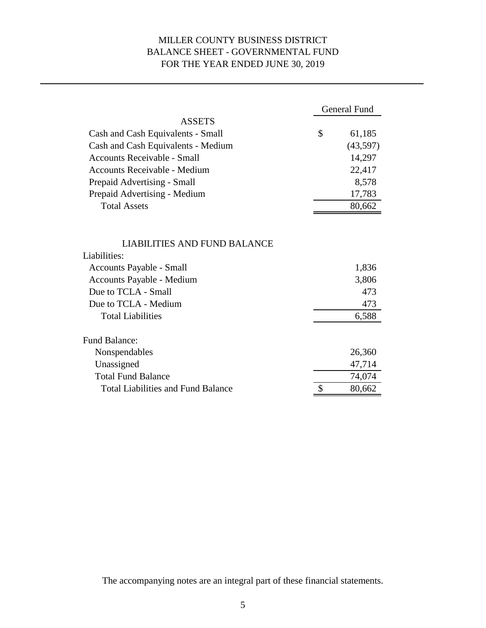# MILLER COUNTY BUSINESS DISTRICT BALANCE SHEET - GOVERNMENTAL FUND FOR THE YEAR ENDED JUNE 30, 2019

|                                                     | <b>General Fund</b> |          |
|-----------------------------------------------------|---------------------|----------|
| <b>ASSETS</b>                                       |                     |          |
| Cash and Cash Equivalents - Small                   | \$                  | 61,185   |
| Cash and Cash Equivalents - Medium                  |                     | (43,597) |
| Accounts Receivable - Small                         |                     | 14,297   |
| Accounts Receivable - Medium                        |                     | 22,417   |
| Prepaid Advertising - Small                         |                     | 8,578    |
| Prepaid Advertising - Medium                        |                     | 17,783   |
| <b>Total Assets</b>                                 |                     | 80,662   |
| <b>LIABILITIES AND FUND BALANCE</b><br>Liabilities: |                     |          |
| <b>Accounts Payable - Small</b>                     |                     | 1,836    |
| Accounts Payable - Medium                           |                     | 3,806    |
| Due to TCLA - Small                                 |                     | 473      |
| Due to TCLA - Medium                                |                     | 473      |
| <b>Total Liabilities</b>                            |                     | 6,588    |
| <b>Fund Balance:</b>                                |                     |          |
| Nonspendables                                       |                     | 26,360   |
| Unassigned                                          |                     | 47,714   |
| <b>Total Fund Balance</b>                           |                     | 74,074   |
| <b>Total Liabilities and Fund Balance</b>           |                     | 80,662   |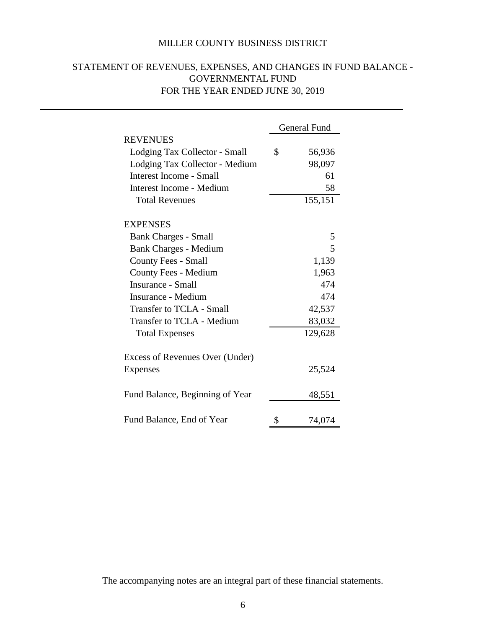# MILLER COUNTY BUSINESS DISTRICT

| STATEMENT OF REVENUES, EXPENSES, AND CHANGES IN FUND BALANCE - |
|----------------------------------------------------------------|
| <b>GOVERNMENTAL FUND</b>                                       |
| FOR THE YEAR ENDED JUNE 30, 2019                               |

|                                 | <b>General Fund</b> |
|---------------------------------|---------------------|
| <b>REVENUES</b>                 |                     |
| Lodging Tax Collector - Small   | \$<br>56,936        |
| Lodging Tax Collector - Medium  | 98,097              |
| Interest Income - Small         | 61                  |
| Interest Income - Medium        | 58                  |
| <b>Total Revenues</b>           | 155,151             |
| <b>EXPENSES</b>                 |                     |
| <b>Bank Charges - Small</b>     | 5                   |
| Bank Charges - Medium           | 5                   |
| <b>County Fees - Small</b>      | 1,139               |
| County Fees - Medium            | 1,963               |
| Insurance - Small               | 474                 |
| Insurance - Medium              | 474                 |
| <b>Transfer to TCLA - Small</b> | 42,537              |
| Transfer to TCLA - Medium       | 83,032              |
| <b>Total Expenses</b>           | 129,628             |
| Excess of Revenues Over (Under) |                     |
| <b>Expenses</b>                 | 25,524              |
| Fund Balance, Beginning of Year | 48,551              |
| Fund Balance, End of Year       | \$<br>74,074        |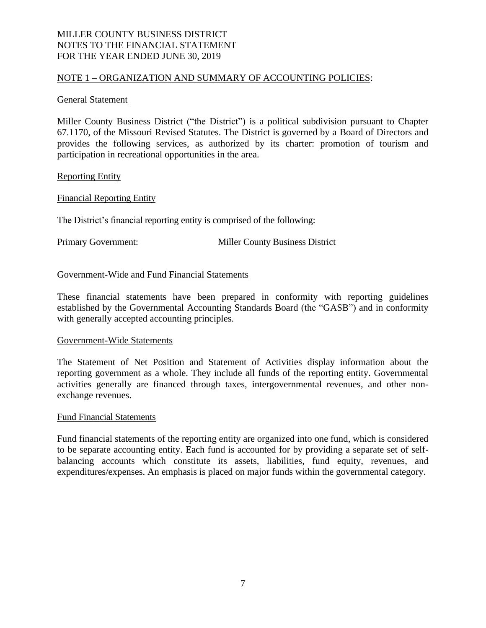## NOTE 1 – ORGANIZATION AND SUMMARY OF ACCOUNTING POLICIES:

#### General Statement

Miller County Business District ("the District") is a political subdivision pursuant to Chapter 67.1170, of the Missouri Revised Statutes. The District is governed by a Board of Directors and provides the following services, as authorized by its charter: promotion of tourism and participation in recreational opportunities in the area.

#### Reporting Entity

Financial Reporting Entity

The District's financial reporting entity is comprised of the following:

Primary Government: Miller County Business District

#### Government-Wide and Fund Financial Statements

These financial statements have been prepared in conformity with reporting guidelines established by the Governmental Accounting Standards Board (the "GASB") and in conformity with generally accepted accounting principles.

#### Government-Wide Statements

The Statement of Net Position and Statement of Activities display information about the reporting government as a whole. They include all funds of the reporting entity. Governmental activities generally are financed through taxes, intergovernmental revenues, and other nonexchange revenues.

#### Fund Financial Statements

Fund financial statements of the reporting entity are organized into one fund, which is considered to be separate accounting entity. Each fund is accounted for by providing a separate set of selfbalancing accounts which constitute its assets, liabilities, fund equity, revenues, and expenditures/expenses. An emphasis is placed on major funds within the governmental category.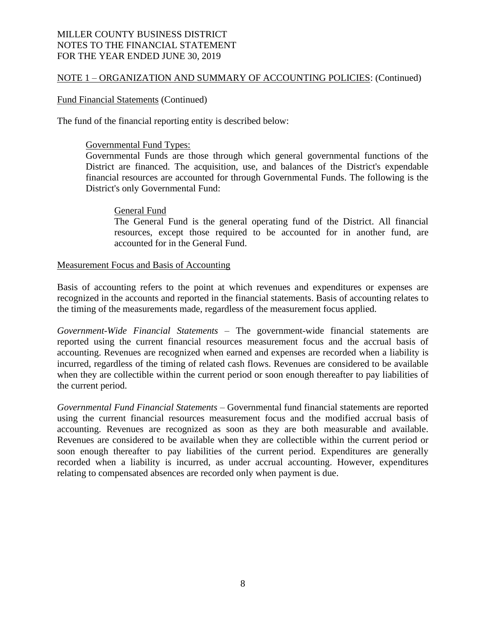# NOTE 1 – ORGANIZATION AND SUMMARY OF ACCOUNTING POLICIES: (Continued)

#### Fund Financial Statements (Continued)

The fund of the financial reporting entity is described below:

#### Governmental Fund Types:

Governmental Funds are those through which general governmental functions of the District are financed. The acquisition, use, and balances of the District's expendable financial resources are accounted for through Governmental Funds. The following is the District's only Governmental Fund:

#### General Fund

The General Fund is the general operating fund of the District. All financial resources, except those required to be accounted for in another fund, are accounted for in the General Fund.

#### Measurement Focus and Basis of Accounting

Basis of accounting refers to the point at which revenues and expenditures or expenses are recognized in the accounts and reported in the financial statements. Basis of accounting relates to the timing of the measurements made, regardless of the measurement focus applied.

*Government-Wide Financial Statements* – The government-wide financial statements are reported using the current financial resources measurement focus and the accrual basis of accounting. Revenues are recognized when earned and expenses are recorded when a liability is incurred, regardless of the timing of related cash flows. Revenues are considered to be available when they are collectible within the current period or soon enough thereafter to pay liabilities of the current period.

*Governmental Fund Financial Statements* – Governmental fund financial statements are reported using the current financial resources measurement focus and the modified accrual basis of accounting. Revenues are recognized as soon as they are both measurable and available. Revenues are considered to be available when they are collectible within the current period or soon enough thereafter to pay liabilities of the current period. Expenditures are generally recorded when a liability is incurred, as under accrual accounting. However, expenditures relating to compensated absences are recorded only when payment is due.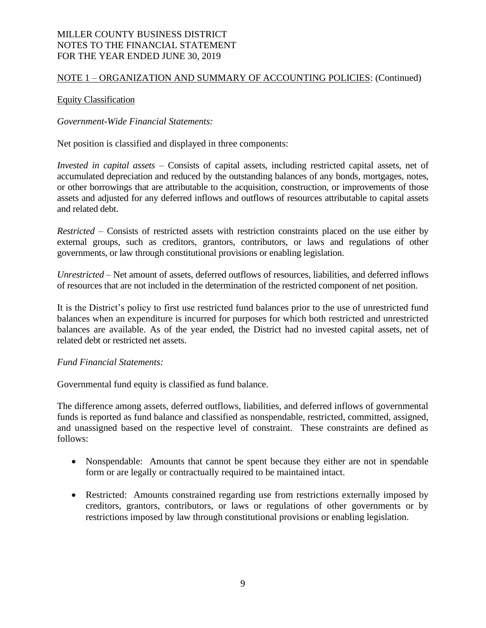# NOTE 1 – ORGANIZATION AND SUMMARY OF ACCOUNTING POLICIES: (Continued)

# Equity Classification

*Government-Wide Financial Statements:*

Net position is classified and displayed in three components:

*Invested in capital assets –* Consists of capital assets, including restricted capital assets, net of accumulated depreciation and reduced by the outstanding balances of any bonds, mortgages, notes, or other borrowings that are attributable to the acquisition, construction, or improvements of those assets and adjusted for any deferred inflows and outflows of resources attributable to capital assets and related debt.

*Restricted* – Consists of restricted assets with restriction constraints placed on the use either by external groups, such as creditors, grantors, contributors, or laws and regulations of other governments, or law through constitutional provisions or enabling legislation.

*Unrestricted* – Net amount of assets, deferred outflows of resources, liabilities, and deferred inflows of resources that are not included in the determination of the restricted component of net position.

It is the District's policy to first use restricted fund balances prior to the use of unrestricted fund balances when an expenditure is incurred for purposes for which both restricted and unrestricted balances are available. As of the year ended, the District had no invested capital assets, net of related debt or restricted net assets.

## *Fund Financial Statements:*

Governmental fund equity is classified as fund balance.

The difference among assets, deferred outflows, liabilities, and deferred inflows of governmental funds is reported as fund balance and classified as nonspendable, restricted, committed, assigned, and unassigned based on the respective level of constraint. These constraints are defined as follows:

- Nonspendable: Amounts that cannot be spent because they either are not in spendable form or are legally or contractually required to be maintained intact.
- Restricted: Amounts constrained regarding use from restrictions externally imposed by creditors, grantors, contributors, or laws or regulations of other governments or by restrictions imposed by law through constitutional provisions or enabling legislation.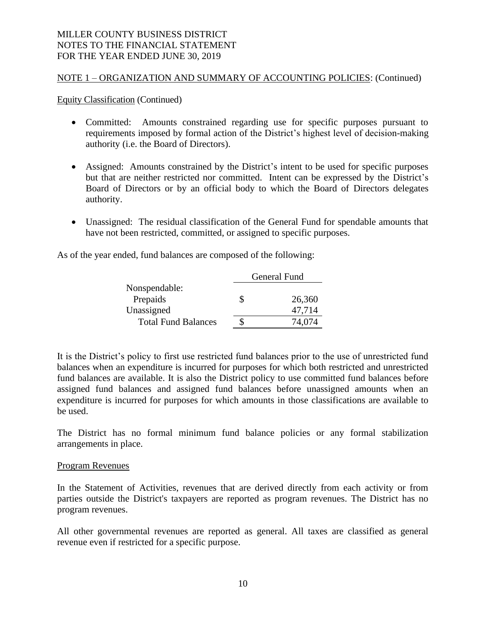## NOTE 1 – ORGANIZATION AND SUMMARY OF ACCOUNTING POLICIES: (Continued)

Equity Classification (Continued)

- Committed: Amounts constrained regarding use for specific purposes pursuant to requirements imposed by formal action of the District's highest level of decision-making authority (i.e. the Board of Directors).
- Assigned: Amounts constrained by the District's intent to be used for specific purposes but that are neither restricted nor committed. Intent can be expressed by the District's Board of Directors or by an official body to which the Board of Directors delegates authority.
- Unassigned: The residual classification of the General Fund for spendable amounts that have not been restricted, committed, or assigned to specific purposes.

As of the year ended, fund balances are composed of the following:

|                            | General Fund |        |  |
|----------------------------|--------------|--------|--|
| Nonspendable:              |              |        |  |
| Prepaids                   |              | 26,360 |  |
| Unassigned                 |              | 47,714 |  |
| <b>Total Fund Balances</b> |              | 74 074 |  |

It is the District's policy to first use restricted fund balances prior to the use of unrestricted fund balances when an expenditure is incurred for purposes for which both restricted and unrestricted fund balances are available. It is also the District policy to use committed fund balances before assigned fund balances and assigned fund balances before unassigned amounts when an expenditure is incurred for purposes for which amounts in those classifications are available to be used.

The District has no formal minimum fund balance policies or any formal stabilization arrangements in place.

#### Program Revenues

In the Statement of Activities, revenues that are derived directly from each activity or from parties outside the District's taxpayers are reported as program revenues. The District has no program revenues.

All other governmental revenues are reported as general. All taxes are classified as general revenue even if restricted for a specific purpose.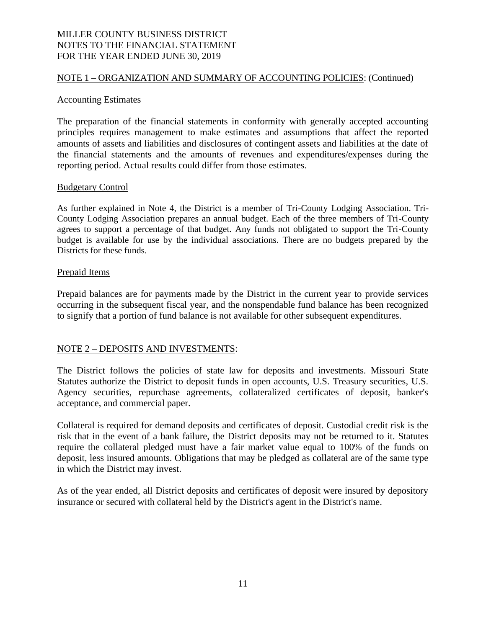## NOTE 1 – ORGANIZATION AND SUMMARY OF ACCOUNTING POLICIES: (Continued)

#### Accounting Estimates

The preparation of the financial statements in conformity with generally accepted accounting principles requires management to make estimates and assumptions that affect the reported amounts of assets and liabilities and disclosures of contingent assets and liabilities at the date of the financial statements and the amounts of revenues and expenditures/expenses during the reporting period. Actual results could differ from those estimates.

#### Budgetary Control

As further explained in Note 4, the District is a member of Tri-County Lodging Association. Tri-County Lodging Association prepares an annual budget. Each of the three members of Tri-County agrees to support a percentage of that budget. Any funds not obligated to support the Tri-County budget is available for use by the individual associations. There are no budgets prepared by the Districts for these funds.

#### Prepaid Items

Prepaid balances are for payments made by the District in the current year to provide services occurring in the subsequent fiscal year, and the nonspendable fund balance has been recognized to signify that a portion of fund balance is not available for other subsequent expenditures.

## NOTE 2 – DEPOSITS AND INVESTMENTS:

The District follows the policies of state law for deposits and investments. Missouri State Statutes authorize the District to deposit funds in open accounts, U.S. Treasury securities, U.S. Agency securities, repurchase agreements, collateralized certificates of deposit, banker's acceptance, and commercial paper.

Collateral is required for demand deposits and certificates of deposit. Custodial credit risk is the risk that in the event of a bank failure, the District deposits may not be returned to it. Statutes require the collateral pledged must have a fair market value equal to 100% of the funds on deposit, less insured amounts. Obligations that may be pledged as collateral are of the same type in which the District may invest.

As of the year ended, all District deposits and certificates of deposit were insured by depository insurance or secured with collateral held by the District's agent in the District's name.